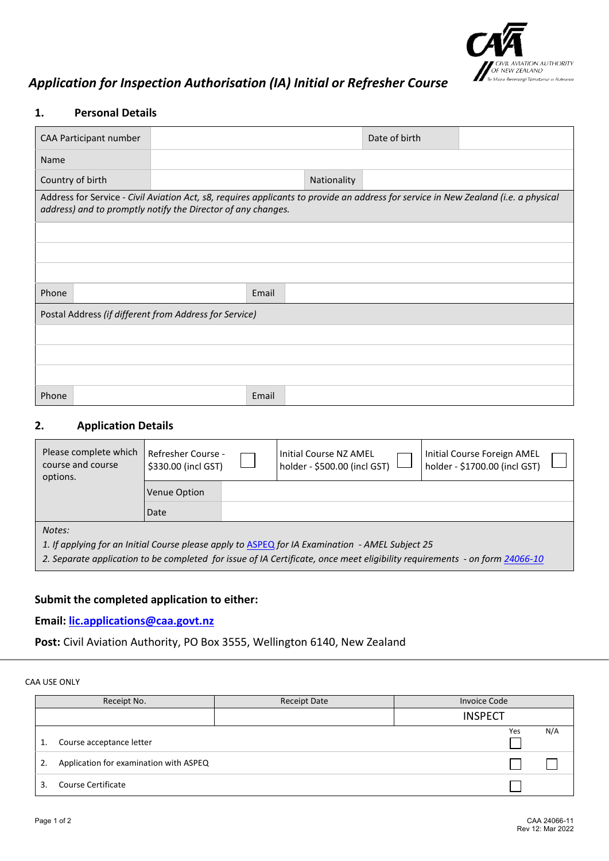

# *Application for Inspection Authorisation (IA) Initial or Refresher Course*

### **1. Personal Details**

| CAA Participant number                                                                                                                                                                              |       |             | Date of birth |  |  |
|-----------------------------------------------------------------------------------------------------------------------------------------------------------------------------------------------------|-------|-------------|---------------|--|--|
| Name                                                                                                                                                                                                |       |             |               |  |  |
| Country of birth                                                                                                                                                                                    |       | Nationality |               |  |  |
| Address for Service - Civil Aviation Act, s8, requires applicants to provide an address for service in New Zealand (i.e. a physical<br>address) and to promptly notify the Director of any changes. |       |             |               |  |  |
|                                                                                                                                                                                                     |       |             |               |  |  |
|                                                                                                                                                                                                     |       |             |               |  |  |
|                                                                                                                                                                                                     |       |             |               |  |  |
| Phone                                                                                                                                                                                               | Email |             |               |  |  |
| Postal Address (if different from Address for Service)                                                                                                                                              |       |             |               |  |  |
|                                                                                                                                                                                                     |       |             |               |  |  |
|                                                                                                                                                                                                     |       |             |               |  |  |
|                                                                                                                                                                                                     |       |             |               |  |  |
| Phone                                                                                                                                                                                               | Email |             |               |  |  |

#### **2. Application Details**

| Please complete which<br>course and course<br>options.                                                                                                                                                                        | Refresher Course -<br>\$330.00 (incl GST) |  | Initial Course NZ AMEL<br>holder - \$500.00 (incl GST) | Initial Course Foreign AMEL<br>holder - \$1700.00 (incl GST) |
|-------------------------------------------------------------------------------------------------------------------------------------------------------------------------------------------------------------------------------|-------------------------------------------|--|--------------------------------------------------------|--------------------------------------------------------------|
|                                                                                                                                                                                                                               | Venue Option                              |  |                                                        |                                                              |
|                                                                                                                                                                                                                               | Date                                      |  |                                                        |                                                              |
| Notes:                                                                                                                                                                                                                        |                                           |  |                                                        |                                                              |
| 1. If applying for an Initial Course please apply to ASPEQ for IA Examination - AMEL Subject 25<br>2. Separate application to be completed for issue of IA Certificate, once meet eligibility requirements - on form 24066-10 |                                           |  |                                                        |                                                              |
|                                                                                                                                                                                                                               |                                           |  |                                                        |                                                              |

## **Submit the completed application to either:**

### **Email: [lic.applications@caa.govt.nz](mailto:lic.applications@caa.govt.nz)**

**Post:** Civil Aviation Authority, PO Box 3555, Wellington 6140, New Zealand

CAA USE ONLY

|    | Receipt No.                            | <b>Receipt Date</b> | <b>Invoice Code</b> |  |
|----|----------------------------------------|---------------------|---------------------|--|
|    |                                        |                     | <b>INSPECT</b>      |  |
| 1. | Course acceptance letter               |                     | N/A<br>Yes          |  |
| 2. | Application for examination with ASPEQ |                     |                     |  |
| ₹  | <b>Course Certificate</b>              |                     |                     |  |